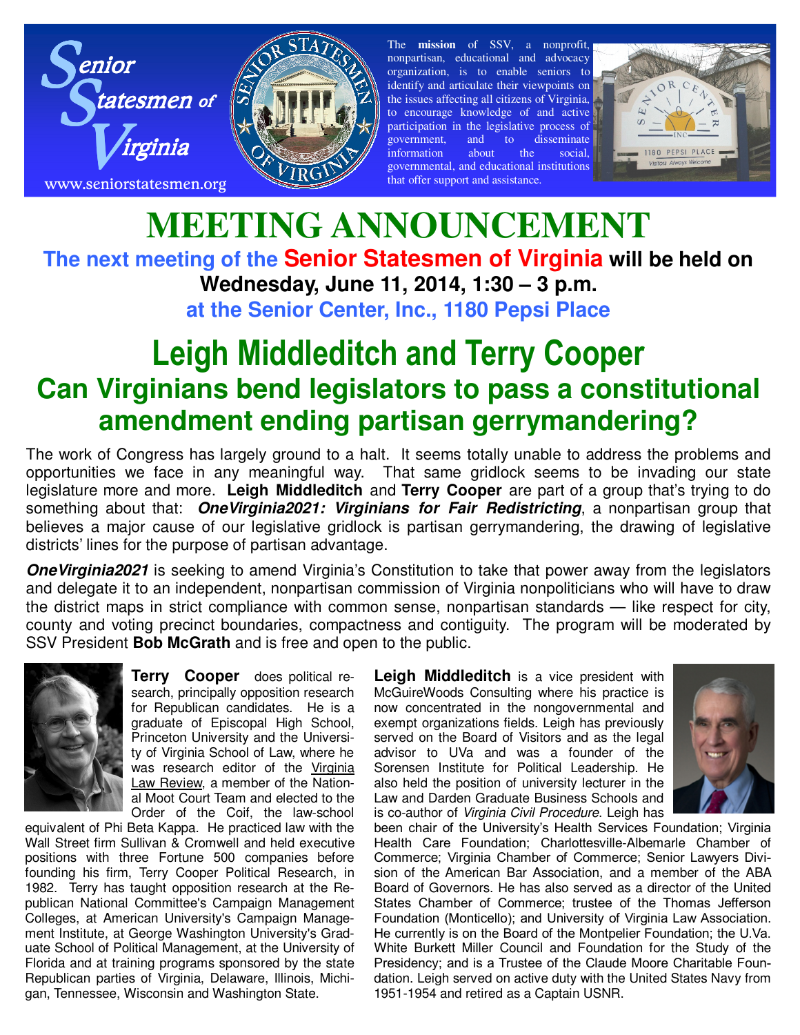



The **mission** of SSV, a nonprofit, nonpartisan, educational and advocacy organization, is to enable seniors to identify and articulate their viewpoints on the issues affecting all citizens of Virginia, to encourage knowledge of and active participation in the legislative process of government, and to disseminate information about the social, governmental, and educational institutions that offer support and assistance.



## **MEETING ANNOUNCEMENT The next meeting of the Senior Statesmen of Virginia will be held on Wednesday, June 11, 2014, 1:30 – 3 p.m. at the Senior Center, Inc., 1180 Pepsi Place**

## **Leigh Middleditch and Terry Cooper Can Virginians bend legislators to pass a constitutional amendment ending partisan gerrymandering?**

The work of Congress has largely ground to a halt. It seems totally unable to address the problems and opportunities we face in any meaningful way. That same gridlock seems to be invading our state legislature more and more. **Leigh Middleditch** and **Terry Cooper** are part of a group that's trying to do something about that: *OneVirginia2021: Virginians for Fair Redistricting*, a nonpartisan group that believes a major cause of our legislative gridlock is partisan gerrymandering, the drawing of legislative districts' lines for the purpose of partisan advantage.

*OneVirginia2021* is seeking to amend Virginia's Constitution to take that power away from the legislators and delegate it to an independent, nonpartisan commission of Virginia nonpoliticians who will have to draw the district maps in strict compliance with common sense, nonpartisan standards — like respect for city, county and voting precinct boundaries, compactness and contiguity. The program will be moderated by SSV President **Bob McGrath** and is free and open to the public.



**Terry Cooper** does political research, principally opposition research for Republican candidates. He is a graduate of Episcopal High School, Princeton University and the University of Virginia School of Law, where he was research editor of the Virginia Law Review, a member of the National Moot Court Team and elected to the Order of the Coif, the law-school

equivalent of Phi Beta Kappa. He practiced law with the Wall Street firm Sullivan & Cromwell and held executive positions with three Fortune 500 companies before founding his firm, Terry Cooper Political Research, in 1982. Terry has taught opposition research at the Republican National Committee's Campaign Management Colleges, at American University's Campaign Management Institute, at George Washington University's Graduate School of Political Management, at the University of Florida and at training programs sponsored by the state Republican parties of Virginia, Delaware, Illinois, Michigan, Tennessee, Wisconsin and Washington State.

**Leigh Middleditch** is a vice president with McGuireWoods Consulting where his practice is now concentrated in the nongovernmental and exempt organizations fields. Leigh has previously served on the Board of Visitors and as the legal advisor to UVa and was a founder of the Sorensen Institute for Political Leadership. He also held the position of university lecturer in the Law and Darden Graduate Business Schools and is co-author of *Virginia Civil Procedure*. Leigh has



been chair of the University's Health Services Foundation; Virginia Health Care Foundation; Charlottesville-Albemarle Chamber of Commerce; Virginia Chamber of Commerce; Senior Lawyers Division of the American Bar Association, and a member of the ABA Board of Governors. He has also served as a director of the United States Chamber of Commerce; trustee of the Thomas Jefferson Foundation (Monticello); and University of Virginia Law Association. He currently is on the Board of the Montpelier Foundation; the U.Va. White Burkett Miller Council and Foundation for the Study of the Presidency; and is a Trustee of the Claude Moore Charitable Foundation. Leigh served on active duty with the United States Navy from 1951-1954 and retired as a Captain USNR.